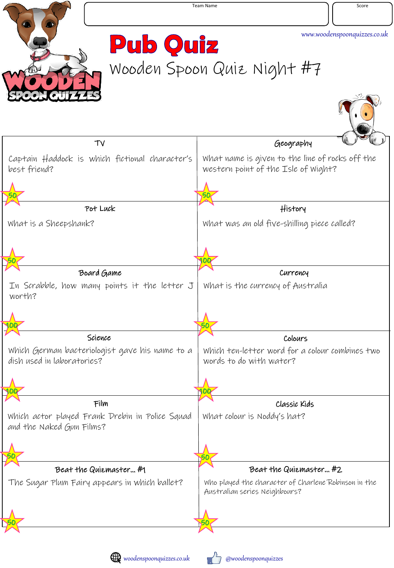

**Pub Quiz** Wooden Spoon Quiz Night #7